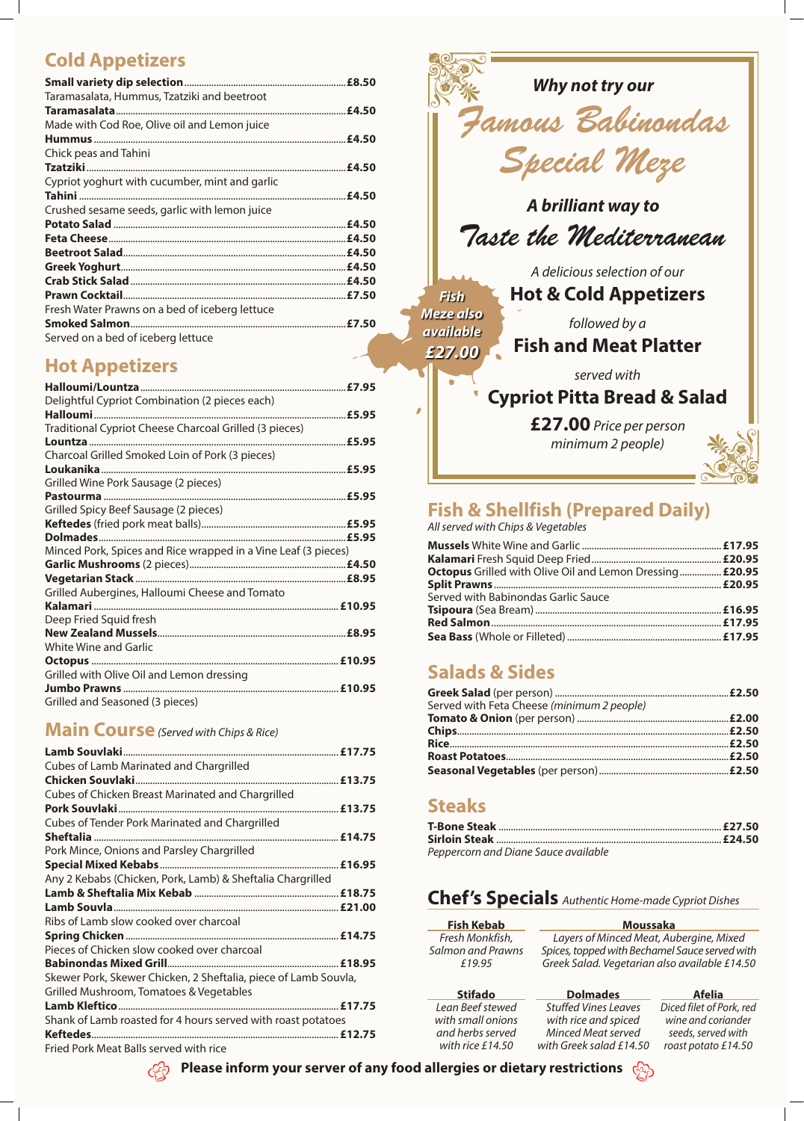# **Cold Appetizers**

| Taramasalata, Hummus, Tzatziki and beetroot    |       |
|------------------------------------------------|-------|
|                                                |       |
| Made with Cod Roe, Olive oil and Lemon juice   |       |
|                                                |       |
| Chick peas and Tahini                          |       |
|                                                |       |
| Cypriot yoghurt with cucumber, mint and garlic |       |
|                                                |       |
| Crushed sesame seeds, garlic with lemon juice  |       |
|                                                | £4.50 |
|                                                |       |
|                                                |       |
|                                                |       |
|                                                |       |
|                                                |       |
| Fresh Water Prawns on a bed of iceberg lettuce |       |
|                                                |       |
| Served on a bed of iceberg lettuce             |       |

## **Hot Appetizers**

|                                                                | £7.95 |
|----------------------------------------------------------------|-------|
| Delightful Cypriot Combination (2 pieces each)                 |       |
|                                                                | £5.95 |
| Traditional Cypriot Cheese Charcoal Grilled (3 pieces)         |       |
| Lountza                                                        | £5.95 |
| Charcoal Grilled Smoked Loin of Pork (3 pieces)                |       |
|                                                                |       |
| Grilled Wine Pork Sausage (2 pieces)                           |       |
|                                                                |       |
| Grilled Spicy Beef Sausage (2 pieces)                          |       |
|                                                                |       |
|                                                                |       |
| Minced Pork, Spices and Rice wrapped in a Vine Leaf (3 pieces) |       |
|                                                                |       |
| <b>Vegetarian Stack.</b>                                       |       |
| Grilled Aubergines, Halloumi Cheese and Tomato                 |       |
|                                                                |       |
| Deep Fried Squid fresh                                         |       |
|                                                                |       |
| <b>White Wine and Garlic</b>                                   |       |
|                                                                |       |
| Grilled with Olive Oil and Lemon dressing                      |       |
|                                                                |       |
| Grilled and Seasoned (3 pieces)                                |       |
|                                                                |       |

### **Main Course***(Served with Chips & Rice)*

| Cubes of Lamb Marinated and Chargrilled           |  |
|---------------------------------------------------|--|
|                                                   |  |
| Cubes of Chicken Breast Marinated and Chargrilled |  |
|                                                   |  |

Cubes of Tender Pork Marinated and Chargrilled

| Pork Mince, Onions and Parsley Chargrilled                      |  |
|-----------------------------------------------------------------|--|
|                                                                 |  |
| Any 2 Kebabs (Chicken, Pork, Lamb) & Sheftalia Chargrilled      |  |
|                                                                 |  |
|                                                                 |  |
| Ribs of Lamb slow cooked over charcoal                          |  |
|                                                                 |  |
| Pieces of Chicken slow cooked over charcoal                     |  |
|                                                                 |  |
| Skewer Pork, Skewer Chicken, 2 Sheftalia, piece of Lamb Souvla, |  |
| Grilled Mushroom, Tomatoes & Vegetables                         |  |
|                                                                 |  |
| Shank of Lamb roasted for 4 hours served with roast potatoes    |  |
|                                                                 |  |
| $Find$ $Derik$                                                  |  |

Fried Pork Meat Balls served

 $\acute{G}$ 

## **Fish & Shellfish (Prepared Daily)**

*All served with Chips & Vegetables*

| <b>Octopus</b> Grilled with Olive Oil and Lemon Dressing £20.95 |
|-----------------------------------------------------------------|
|                                                                 |
|                                                                 |
|                                                                 |
|                                                                 |
|                                                                 |
|                                                                 |
|                                                                 |
|                                                                 |

# **Salads & Sides**

| Served with Feta Cheese (minimum 2 people) |  |
|--------------------------------------------|--|
|                                            |  |
|                                            |  |
|                                            |  |
|                                            |  |
|                                            |  |

### **Steaks**

| Peppercorn and Diane Sauce available |  |
|--------------------------------------|--|



### **Chef's Specials** *Authentic Home-made Cypriot Dishes*

### **Please inform your server of any food allergies or dietary restrictions**

#### **Fish Kebab**

*Fresh Monkfish, Salmon and Prawns £19.95*

| <b>Stifado</b>     | <b>Dolmades</b>             | <b>Afelia</b>            |
|--------------------|-----------------------------|--------------------------|
| Lean Beef stewed   | <b>Stuffed Vines Leaves</b> | Diced filet of Pork, red |
| with small onions  | with rice and spiced        | wine and coriander       |
| and herbs served   | Minced Meat served          | seeds, served with       |
| with rice $£14.50$ | with Greek salad £14.50     | roast potato £14.50      |



#### **Moussaka**

*Layers of Minced Meat, Aubergine, Mixed Spices, topped with Bechamel Sauce served with Greek Salad. Vegetarian also available £14.50*